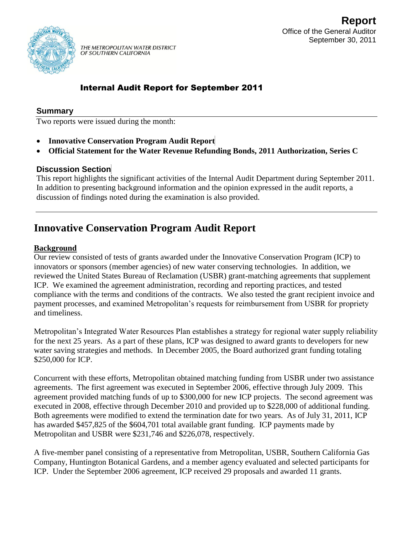

THE METROPOLITAN WATER DISTRICT OF SOUTHERN CALIFORNIA

# Internal Audit Report for September 2011

#### **Summary**

Two reports were issued during the month:

- **Innovative Conservation Program Audit Report**
- **Official Statement for the Water Revenue Refunding Bonds, 2011 Authorization, Series C**

#### **Discussion Section**

This report highlights the significant activities of the Internal Audit Department during September 2011. In addition to presenting background information and the opinion expressed in the audit reports, a discussion of findings noted during the examination is also provided.

# **Innovative Conservation Program Audit Report**

#### **Background**

Our review consisted of tests of grants awarded under the Innovative Conservation Program (ICP) to innovators or sponsors (member agencies) of new water conserving technologies. In addition, we reviewed the United States Bureau of Reclamation (USBR) grant-matching agreements that supplement ICP. We examined the agreement administration, recording and reporting practices, and tested compliance with the terms and conditions of the contracts. We also tested the grant recipient invoice and payment processes, and examined Metropolitan's requests for reimbursement from USBR for propriety and timeliness.

Metropolitan's Integrated Water Resources Plan establishes a strategy for regional water supply reliability for the next 25 years. As a part of these plans, ICP was designed to award grants to developers for new water saving strategies and methods. In December 2005, the Board authorized grant funding totaling \$250,000 for ICP.

Concurrent with these efforts, Metropolitan obtained matching funding from USBR under two assistance agreements. The first agreement was executed in September 2006, effective through July 2009. This agreement provided matching funds of up to \$300,000 for new ICP projects. The second agreement was executed in 2008, effective through December 2010 and provided up to \$228,000 of additional funding. Both agreements were modified to extend the termination date for two years. As of July 31, 2011, ICP has awarded \$457,825 of the \$604,701 total available grant funding. ICP payments made by Metropolitan and USBR were \$231,746 and \$226,078, respectively.

A five-member panel consisting of a representative from Metropolitan, USBR, Southern California Gas Company, Huntington Botanical Gardens, and a member agency evaluated and selected participants for ICP. Under the September 2006 agreement, ICP received 29 proposals and awarded 11 grants.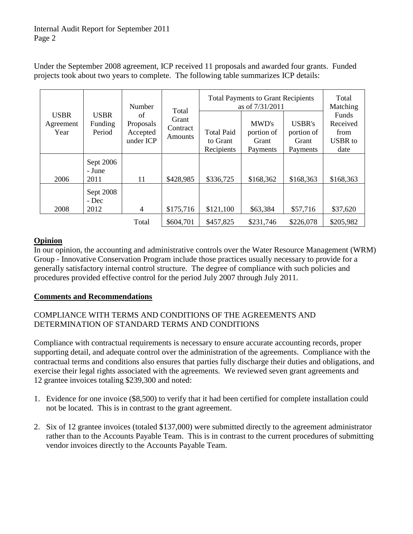Under the September 2008 agreement, ICP received 11 proposals and awarded four grants. Funded projects took about two years to complete. The following table summarizes ICP details:

| <b>USBR</b><br>Agreement<br>Year | <b>USBR</b><br>Funding<br>Period | Number<br>of<br>Proposals<br>Accepted<br>under ICP | Total<br>Grant<br>Contract<br>Amounts | <b>Total Payments to Grant Recipients</b><br>as of 7/31/2011 |                                          |                                                  | Total<br>Matching                                   |
|----------------------------------|----------------------------------|----------------------------------------------------|---------------------------------------|--------------------------------------------------------------|------------------------------------------|--------------------------------------------------|-----------------------------------------------------|
|                                  |                                  |                                                    |                                       | <b>Total Paid</b><br>to Grant<br>Recipients                  | MWD's<br>portion of<br>Grant<br>Payments | <b>USBR's</b><br>portion of<br>Grant<br>Payments | Funds<br>Received<br>from<br><b>USBR</b> to<br>date |
| 2006                             | Sept 2006<br>- June<br>2011      | 11                                                 | \$428,985                             | \$336,725                                                    | \$168,362                                | \$168,363                                        | \$168,363                                           |
| 2008                             | Sept 2008<br>- Dec<br>2012       | $\overline{4}$                                     | \$175,716                             | \$121,100                                                    | \$63,384                                 | \$57,716                                         | \$37,620                                            |
|                                  |                                  | Total                                              | \$604,701                             | \$457,825                                                    | \$231,746                                | \$226,078                                        | \$205,982                                           |

## **Opinion**

In our opinion, the accounting and administrative controls over the Water Resource Management (WRM) Group - Innovative Conservation Program include those practices usually necessary to provide for a generally satisfactory internal control structure. The degree of compliance with such policies and procedures provided effective control for the period July 2007 through July 2011.

## **Comments and Recommendations**

## COMPLIANCE WITH TERMS AND CONDITIONS OF THE AGREEMENTS AND DETERMINATION OF STANDARD TERMS AND CONDITIONS

Compliance with contractual requirements is necessary to ensure accurate accounting records, proper supporting detail, and adequate control over the administration of the agreements. Compliance with the contractual terms and conditions also ensures that parties fully discharge their duties and obligations, and exercise their legal rights associated with the agreements. We reviewed seven grant agreements and 12 grantee invoices totaling \$239,300 and noted:

- 1. Evidence for one invoice (\$8,500) to verify that it had been certified for complete installation could not be located. This is in contrast to the grant agreement.
- 2. Six of 12 grantee invoices (totaled \$137,000) were submitted directly to the agreement administrator rather than to the Accounts Payable Team. This is in contrast to the current procedures of submitting vendor invoices directly to the Accounts Payable Team.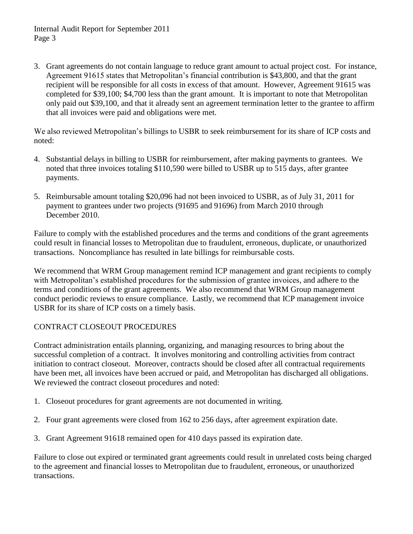Internal Audit Report for September 2011 Page 3

3. Grant agreements do not contain language to reduce grant amount to actual project cost. For instance, Agreement 91615 states that Metropolitan's financial contribution is \$43,800, and that the grant recipient will be responsible for all costs in excess of that amount. However, Agreement 91615 was completed for \$39,100; \$4,700 less than the grant amount. It is important to note that Metropolitan only paid out \$39,100, and that it already sent an agreement termination letter to the grantee to affirm that all invoices were paid and obligations were met.

We also reviewed Metropolitan's billings to USBR to seek reimbursement for its share of ICP costs and noted:

- 4. Substantial delays in billing to USBR for reimbursement, after making payments to grantees. We noted that three invoices totaling \$110,590 were billed to USBR up to 515 days, after grantee payments.
- 5. Reimbursable amount totaling \$20,096 had not been invoiced to USBR, as of July 31, 2011 for payment to grantees under two projects (91695 and 91696) from March 2010 through December 2010.

Failure to comply with the established procedures and the terms and conditions of the grant agreements could result in financial losses to Metropolitan due to fraudulent, erroneous, duplicate, or unauthorized transactions. Noncompliance has resulted in late billings for reimbursable costs.

We recommend that WRM Group management remind ICP management and grant recipients to comply with Metropolitan's established procedures for the submission of grantee invoices, and adhere to the terms and conditions of the grant agreements. We also recommend that WRM Group management conduct periodic reviews to ensure compliance. Lastly, we recommend that ICP management invoice USBR for its share of ICP costs on a timely basis.

## CONTRACT CLOSEOUT PROCEDURES

Contract administration entails planning, organizing, and managing resources to bring about the successful completion of a contract. It involves monitoring and controlling activities from contract initiation to contract closeout. Moreover, contracts should be closed after all contractual requirements have been met, all invoices have been accrued or paid, and Metropolitan has discharged all obligations. We reviewed the contract closeout procedures and noted:

- 1. Closeout procedures for grant agreements are not documented in writing.
- 2. Four grant agreements were closed from 162 to 256 days, after agreement expiration date.
- 3. Grant Agreement 91618 remained open for 410 days passed its expiration date.

Failure to close out expired or terminated grant agreements could result in unrelated costs being charged to the agreement and financial losses to Metropolitan due to fraudulent, erroneous, or unauthorized transactions.